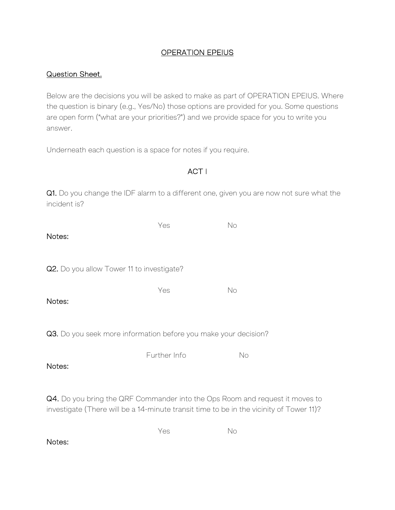## OPERATION EPEIUS

## Question Sheet.

Below are the decisions you will be asked to make as part of OPERATION EPEIUS. Where the question is binary (e.g., Yes/No) those options are provided for you. Some questions are open form ("what are your priorities?") and we provide space for you to write you answer.

Underneath each question is a space for notes if you require.

| ACT I                                                                                                                                                                   |              |    |  |  |
|-------------------------------------------------------------------------------------------------------------------------------------------------------------------------|--------------|----|--|--|
| Q1. Do you change the IDF alarm to a different one, given you are now not sure what the<br>incident is?                                                                 |              |    |  |  |
| Notes:                                                                                                                                                                  | Yes          | No |  |  |
| Q2. Do you allow Tower 11 to investigate?                                                                                                                               |              |    |  |  |
| Notes:                                                                                                                                                                  | Yes          | No |  |  |
| Q3. Do you seek more information before you make your decision?                                                                                                         |              |    |  |  |
| Notes:                                                                                                                                                                  | Further Info | No |  |  |
| Q4. Do you bring the QRF Commander into the Ops Room and request it moves to<br>investigate (There will be a 14-minute transit time to be in the vicinity of Tower 11)? |              |    |  |  |
| Notes:                                                                                                                                                                  | Yes          | No |  |  |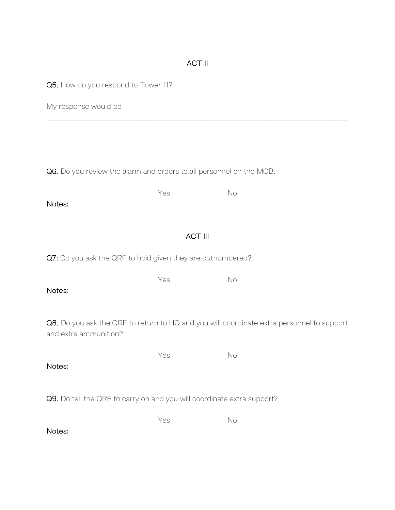## ACT II

| Q5. How do you respond to Tower 11?                                                                                |     |    |  |  |  |
|--------------------------------------------------------------------------------------------------------------------|-----|----|--|--|--|
| My response would be                                                                                               |     |    |  |  |  |
|                                                                                                                    |     |    |  |  |  |
|                                                                                                                    |     |    |  |  |  |
| Q6. Do you review the alarm and orders to all personnel on the MOB.                                                |     |    |  |  |  |
|                                                                                                                    | Yes | No |  |  |  |
| Notes:                                                                                                             |     |    |  |  |  |
| <b>ACT III</b>                                                                                                     |     |    |  |  |  |
| Q7: Do you ask the QRF to hold given they are outnumbered?                                                         |     |    |  |  |  |
|                                                                                                                    | Yes | No |  |  |  |
| Notes:                                                                                                             |     |    |  |  |  |
| Q8. Do you ask the QRF to return to HQ and you will coordinate extra personnel to support<br>and extra ammunition? |     |    |  |  |  |
|                                                                                                                    | Yes | No |  |  |  |
| Notes:                                                                                                             |     |    |  |  |  |
| Q9. Do tell the QRF to carry on and you will coordinate extra support?                                             |     |    |  |  |  |
|                                                                                                                    | Yes | No |  |  |  |
| Notes:                                                                                                             |     |    |  |  |  |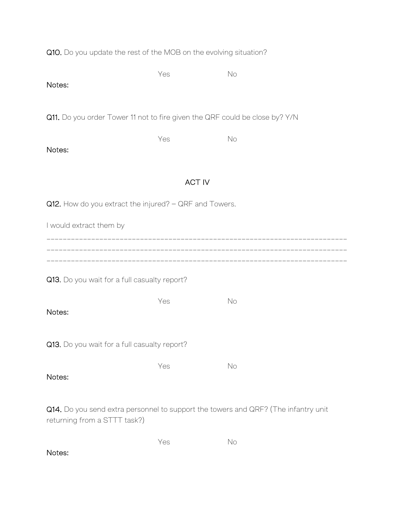| Q10. Do you update the rest of the MOB on the evolving situation? |
|-------------------------------------------------------------------|
|-------------------------------------------------------------------|

| Notes:                                                                                                             | Yes           | No |  |  |  |
|--------------------------------------------------------------------------------------------------------------------|---------------|----|--|--|--|
| Q11. Do you order Tower 11 not to fire given the QRF could be close by? Y/N                                        |               |    |  |  |  |
| Notes:                                                                                                             | Yes           | No |  |  |  |
|                                                                                                                    | <b>ACT IV</b> |    |  |  |  |
| Q12. How do you extract the injured? - QRF and Towers.                                                             |               |    |  |  |  |
| I would extract them by                                                                                            |               |    |  |  |  |
|                                                                                                                    |               |    |  |  |  |
| Q13. Do you wait for a full casualty report?                                                                       |               |    |  |  |  |
| Notes:                                                                                                             | Yes           | No |  |  |  |
| Q13. Do you wait for a full casualty report?                                                                       |               |    |  |  |  |
| Notes:                                                                                                             | Yes           | No |  |  |  |
| Q14. Do you send extra personnel to support the towers and QRF? (The infantry unit<br>returning from a STTT task?) |               |    |  |  |  |
|                                                                                                                    | Yes           | No |  |  |  |

Notes: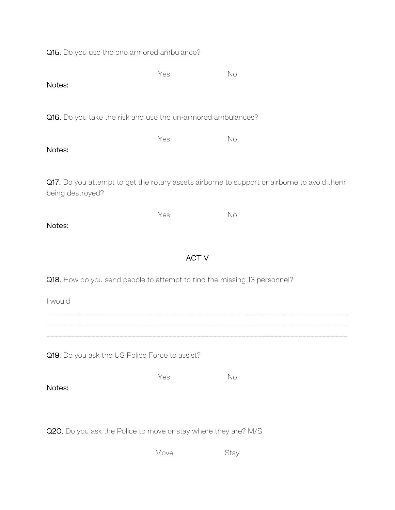Q15. Do you use the one armored ambulance?

| Notes:                                                                                                         | Yes | No |  |  |  |
|----------------------------------------------------------------------------------------------------------------|-----|----|--|--|--|
| Q16. Do you take the risk and use the un-armored ambulances?                                                   |     |    |  |  |  |
| Notes:                                                                                                         | Yes | No |  |  |  |
| Q17. Do you attempt to get the rotary assets airborne to support or airborne to avoid them<br>being destroyed? |     |    |  |  |  |
| Notes:                                                                                                         | Yes | No |  |  |  |
| <b>ACT V</b>                                                                                                   |     |    |  |  |  |
| Q18. How do you send people to attempt to find the missing 13 personnel?                                       |     |    |  |  |  |
| I would                                                                                                        |     |    |  |  |  |
|                                                                                                                |     |    |  |  |  |
| Q19. Do you ask the US Police Force to assist?                                                                 |     |    |  |  |  |
| Notes:                                                                                                         | Yes | No |  |  |  |
| Q20. Do you ask the Police to move or stay where they are? M/S                                                 |     |    |  |  |  |

Move Stay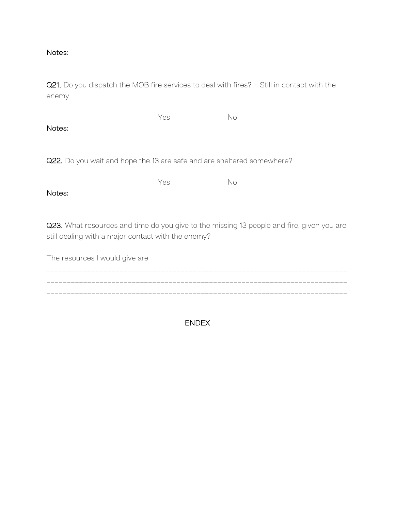## Notes:

Q21. Do you dispatch the MOB fire services to deal with fires? – Still in contact with the enemy

Yes No Notes:

Q22. Do you wait and hope the 13 are safe and are sheltered somewhere?

Yes No

Notes:

Q23. What resources and time do you give to the missing 13 people and fire, given you are still dealing with a major contact with the enemy?

The resources I would give are \_\_\_\_\_\_\_\_\_\_\_\_\_\_\_\_\_\_\_\_\_\_\_\_\_\_\_\_\_\_\_\_\_\_\_\_\_\_\_\_\_\_\_\_\_\_\_\_\_\_\_\_\_\_\_\_\_\_\_\_\_\_\_\_\_\_\_\_\_\_\_\_\_\_ \_\_\_\_\_\_\_\_\_\_\_\_\_\_\_\_\_\_\_\_\_\_\_\_\_\_\_\_\_\_\_\_\_\_\_\_\_\_\_\_\_\_\_\_\_\_\_\_\_\_\_\_\_\_\_\_\_\_\_\_\_\_\_\_\_\_\_\_\_\_\_\_\_\_ \_\_\_\_\_\_\_\_\_\_\_\_\_\_\_\_\_\_\_\_\_\_\_\_\_\_\_\_\_\_\_\_\_\_\_\_\_\_\_\_\_\_\_\_\_\_\_\_\_\_\_\_\_\_\_\_\_\_\_\_\_\_\_\_\_\_\_\_\_\_\_\_\_\_

ENDEX